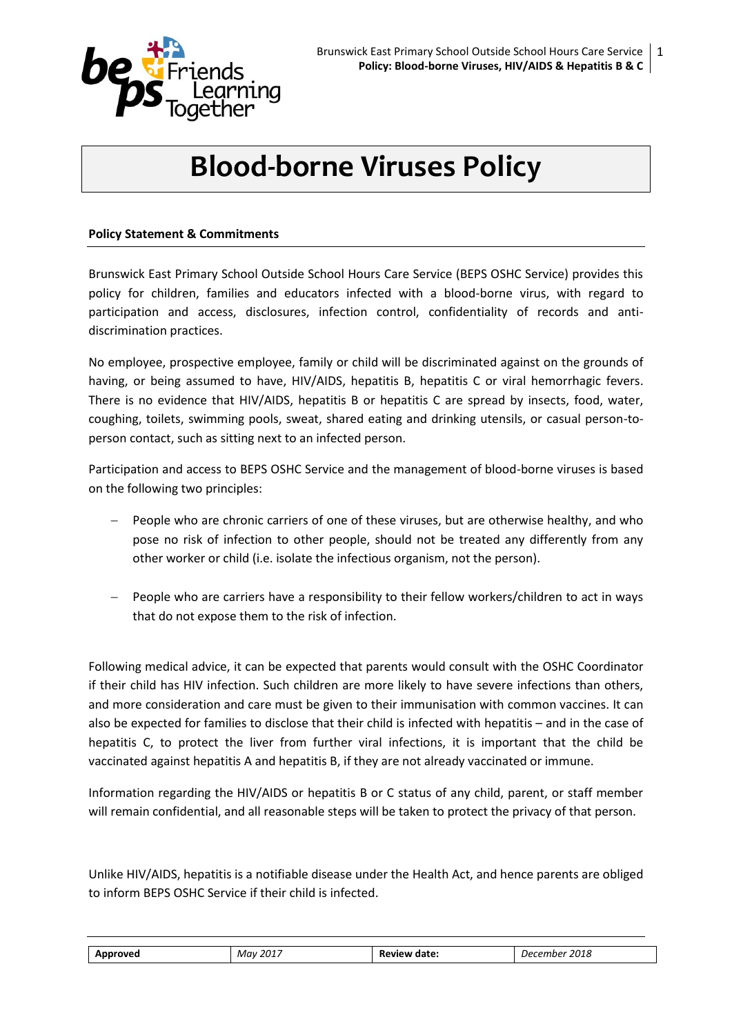

# **Blood-borne Viruses Policy**

## **Policy Statement & Commitments**

Brunswick East Primary School Outside School Hours Care Service (BEPS OSHC Service) provides this policy for children, families and educators infected with a blood-borne virus, with regard to participation and access, disclosures, infection control, confidentiality of records and antidiscrimination practices.

No employee, prospective employee, family or child will be discriminated against on the grounds of having, or being assumed to have, HIV/AIDS, hepatitis B, hepatitis C or viral hemorrhagic fevers. There is no evidence that HIV/AIDS, hepatitis B or hepatitis C are spread by insects, food, water, coughing, toilets, swimming pools, sweat, shared eating and drinking utensils, or casual person-toperson contact, such as sitting next to an infected person.

Participation and access to BEPS OSHC Service and the management of blood-borne viruses is based on the following two principles:

- People who are chronic carriers of one of these viruses, but are otherwise healthy, and who pose no risk of infection to other people, should not be treated any differently from any other worker or child (i.e. isolate the infectious organism, not the person).
- People who are carriers have a responsibility to their fellow workers/children to act in ways that do not expose them to the risk of infection.

Following medical advice, it can be expected that parents would consult with the OSHC Coordinator if their child has HIV infection. Such children are more likely to have severe infections than others, and more consideration and care must be given to their immunisation with common vaccines. It can also be expected for families to disclose that their child is infected with hepatitis – and in the case of hepatitis C, to protect the liver from further viral infections, it is important that the child be vaccinated against hepatitis A and hepatitis B, if they are not already vaccinated or immune.

Information regarding the HIV/AIDS or hepatitis B or C status of any child, parent, or staff member will remain confidential, and all reasonable steps will be taken to protect the privacy of that person.

Unlike HIV/AIDS, hepatitis is a notifiable disease under the Health Act, and hence parents are obliged to inform BEPS OSHC Service if their child is infected.

| aroved<br>$ -$ | 2017<br>Mav<br>____ | date.<br><i>וו</i> ומונ<br>-62<br>.<br>_______ | วกรด<br>nne <sup>,</sup><br>, jer<br>2018<br>. |
|----------------|---------------------|------------------------------------------------|------------------------------------------------|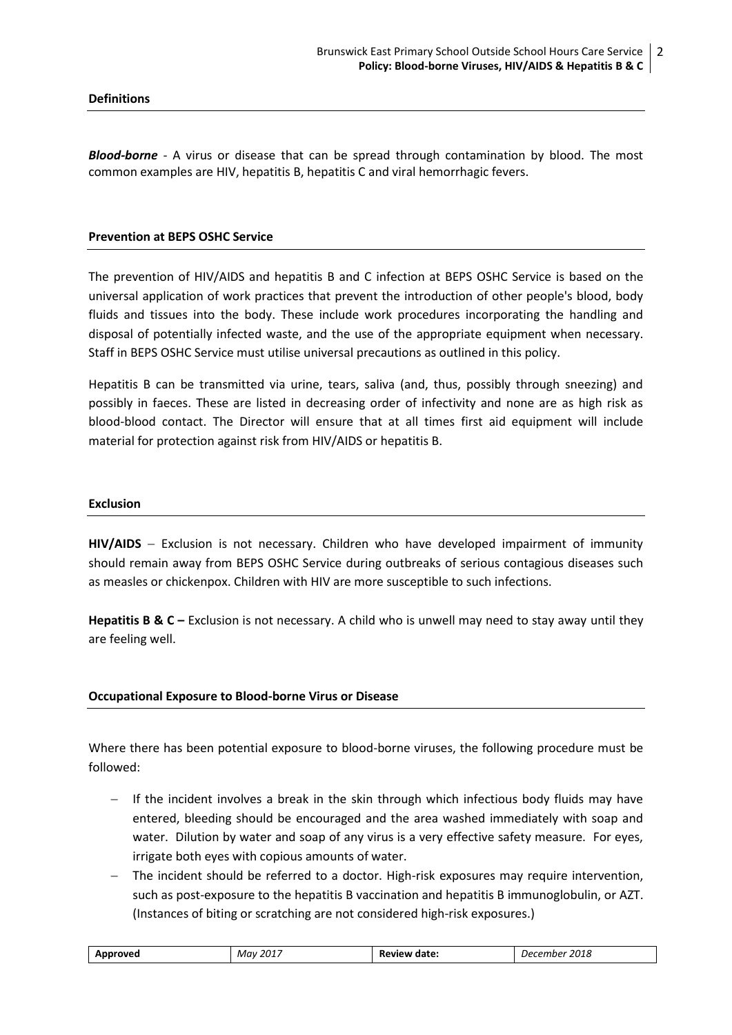#### **Definitions**

*Blood-borne* - A virus or disease that can be spread through contamination by blood. The most common examples are HIV, hepatitis B, hepatitis C and viral hemorrhagic fevers.

#### **Prevention at BEPS OSHC Service**

The prevention of HIV/AIDS and hepatitis B and C infection at BEPS OSHC Service is based on the universal application of work practices that prevent the introduction of other people's blood, body fluids and tissues into the body. These include work procedures incorporating the handling and disposal of potentially infected waste, and the use of the appropriate equipment when necessary. Staff in BEPS OSHC Service must utilise universal precautions as outlined in this policy.

Hepatitis B can be transmitted via urine, tears, saliva (and, thus, possibly through sneezing) and possibly in faeces. These are listed in decreasing order of infectivity and none are as high risk as blood-blood contact. The Director will ensure that at all times first aid equipment will include material for protection against risk from HIV/AIDS or hepatitis B.

#### **Exclusion**

HIV/AIDS - Exclusion is not necessary. Children who have developed impairment of immunity should remain away from BEPS OSHC Service during outbreaks of serious contagious diseases such as measles or chickenpox. Children with HIV are more susceptible to such infections.

**Hepatitis B & C – Exclusion is not necessary. A child who is unwell may need to stay away until they** are feeling well.

#### **Occupational Exposure to Blood-borne Virus or Disease**

Where there has been potential exposure to blood-borne viruses, the following procedure must be followed:

- If the incident involves a break in the skin through which infectious body fluids may have entered, bleeding should be encouraged and the area washed immediately with soap and water. Dilution by water and soap of any virus is a very effective safety measure. For eyes, irrigate both eyes with copious amounts of water.
- The incident should be referred to a doctor. High-risk exposures may require intervention, such as post-exposure to the hepatitis B vaccination and hepatitis B immunoglobulin, or AZT. (Instances of biting or scratching are not considered high-risk exposures.)

| Approved | $201^-$<br>Mav | <b>Review date:</b> | 2018<br>mber<br>Decemr |
|----------|----------------|---------------------|------------------------|
|----------|----------------|---------------------|------------------------|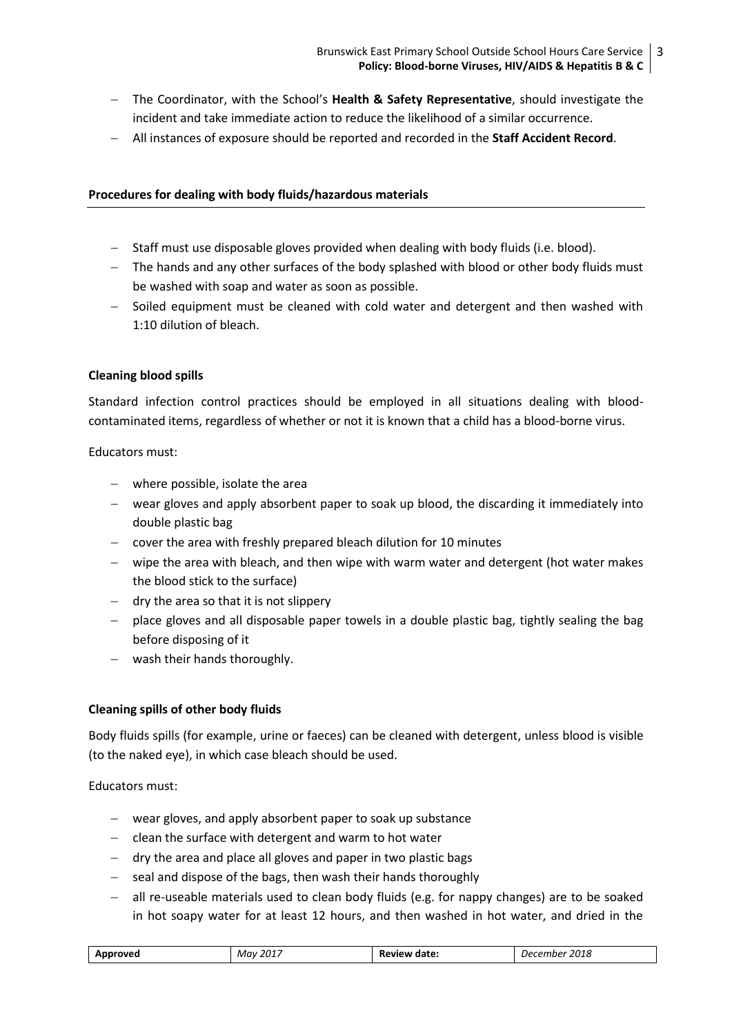- The Coordinator, with the School's **Health & Safety Representative**, should investigate the incident and take immediate action to reduce the likelihood of a similar occurrence.
- All instances of exposure should be reported and recorded in the **Staff Accident Record**.

## **Procedures for dealing with body fluids/hazardous materials**

- $-$  Staff must use disposable gloves provided when dealing with body fluids (i.e. blood).
- The hands and any other surfaces of the body splashed with blood or other body fluids must be washed with soap and water as soon as possible.
- $-$  Soiled equipment must be cleaned with cold water and detergent and then washed with 1:10 dilution of bleach.

## **Cleaning blood spills**

Standard infection control practices should be employed in all situations dealing with bloodcontaminated items, regardless of whether or not it is known that a child has a blood-borne virus.

Educators must:

- where possible, isolate the area
- wear gloves and apply absorbent paper to soak up blood, the discarding it immediately into double plastic bag
- cover the area with freshly prepared bleach dilution for 10 minutes
- $-$  wipe the area with bleach, and then wipe with warm water and detergent (hot water makes the blood stick to the surface)
- $-$  dry the area so that it is not slippery
- $-$  place gloves and all disposable paper towels in a double plastic bag, tightly sealing the bag before disposing of it
- wash their hands thoroughly.

## **Cleaning spills of other body fluids**

Body fluids spills (for example, urine or faeces) can be cleaned with detergent, unless blood is visible (to the naked eye), in which case bleach should be used.

Educators must:

- wear gloves, and apply absorbent paper to soak up substance
- $-$  clean the surface with detergent and warm to hot water
- $-$  dry the area and place all gloves and paper in two plastic bags
- $-$  seal and dispose of the bags, then wash their hands thoroughly
- all re-useable materials used to clean body fluids (e.g. for nappy changes) are to be soaked in hot soapy water for at least 12 hours, and then washed in hot water, and dried in the

| Approved | 2017<br>Mav | <b>Review date:</b> | 2018<br>December |
|----------|-------------|---------------------|------------------|
|----------|-------------|---------------------|------------------|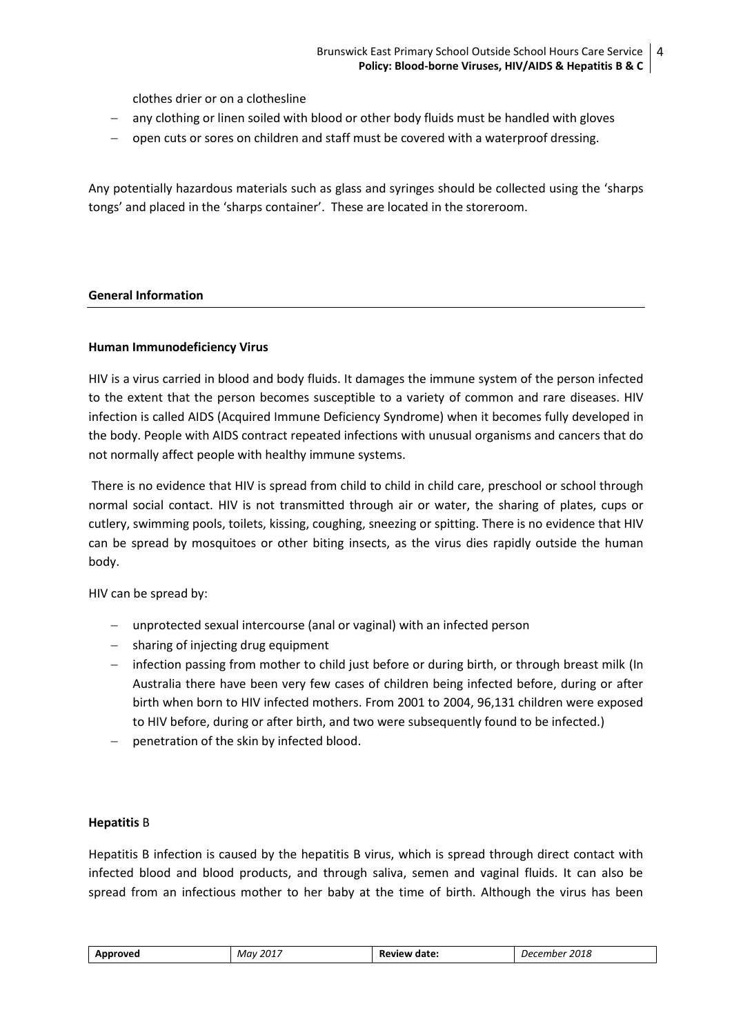clothes drier or on a clothesline

- any clothing or linen soiled with blood or other body fluids must be handled with gloves
- open cuts or sores on children and staff must be covered with a waterproof dressing.

Any potentially hazardous materials such as glass and syringes should be collected using the 'sharps tongs' and placed in the 'sharps container'. These are located in the storeroom.

## **General Information**

#### **Human Immunodeficiency Virus**

HIV is a virus carried in blood and body fluids. It damages the immune system of the person infected to the extent that the person becomes susceptible to a variety of common and rare diseases. HIV infection is called AIDS (Acquired Immune Deficiency Syndrome) when it becomes fully developed in the body. People with AIDS contract repeated infections with unusual organisms and cancers that do not normally affect people with healthy immune systems.

There is no evidence that HIV is spread from child to child in child care, preschool or school through normal social contact. HIV is not transmitted through air or water, the sharing of plates, cups or cutlery, swimming pools, toilets, kissing, coughing, sneezing or spitting. There is no evidence that HIV can be spread by mosquitoes or other biting insects, as the virus dies rapidly outside the human body.

HIV can be spread by:

- unprotected sexual intercourse (anal or vaginal) with an infected person
- sharing of injecting drug equipment
- infection passing from mother to child just before or during birth, or through breast milk (In Australia there have been very few cases of children being infected before, during or after birth when born to HIV infected mothers. From 2001 to 2004, 96,131 children were exposed to HIV before, during or after birth, and two were subsequently found to be infected.)
- penetration of the skin by infected blood.

## **Hepatitis** B

Hepatitis B infection is caused by the hepatitis B virus, which is spread through direct contact with infected blood and blood products, and through saliva, semen and vaginal fluids. It can also be spread from an infectious mother to her baby at the time of birth. Although the virus has been

| 2017     | date:  | 2018  |  |
|----------|--------|-------|--|
| Mav      | aview. | , jer |  |
| Approveo | Кe     | .mpe  |  |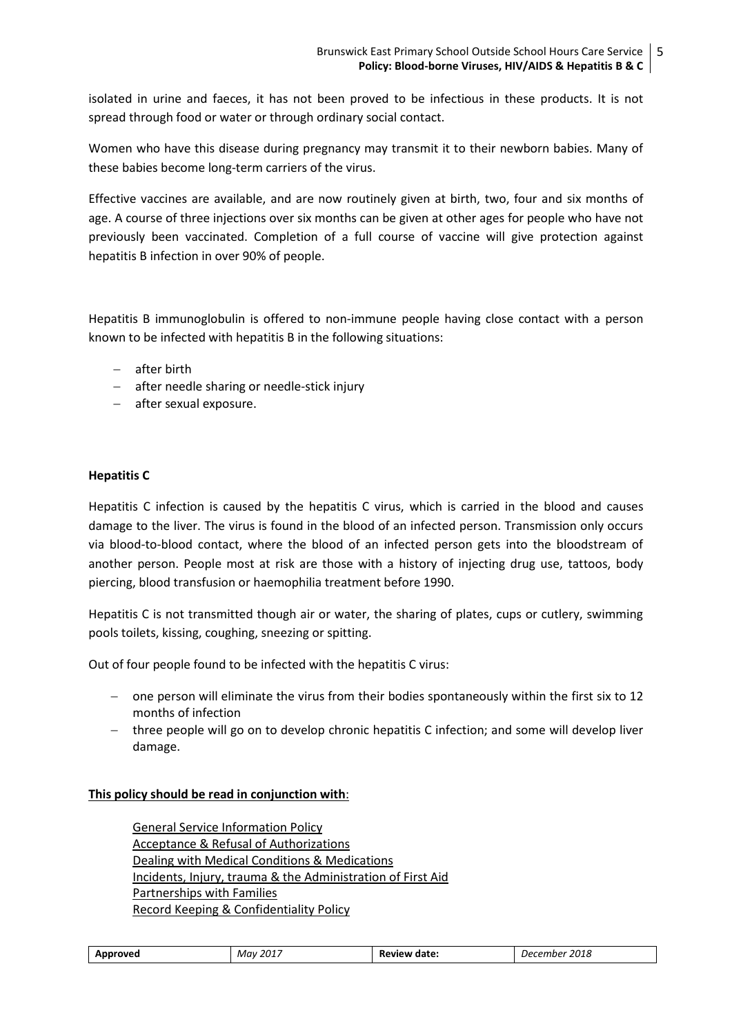isolated in urine and faeces, it has not been proved to be infectious in these products. It is not spread through food or water or through ordinary social contact.

Women who have this disease during pregnancy may transmit it to their newborn babies. Many of these babies become long-term carriers of the virus.

Effective vaccines are available, and are now routinely given at birth, two, four and six months of age. A course of three injections over six months can be given at other ages for people who have not previously been vaccinated. Completion of a full course of vaccine will give protection against hepatitis B infection in over 90% of people.

Hepatitis B immunoglobulin is offered to non-immune people having close contact with a person known to be infected with hepatitis B in the following situations:

- $-$  after birth
- after needle sharing or needle-stick injury
- after sexual exposure.

# **Hepatitis C**

Hepatitis C infection is caused by the hepatitis C virus, which is carried in the blood and causes damage to the liver. The virus is found in the blood of an infected person. Transmission only occurs via blood-to-blood contact, where the blood of an infected person gets into the bloodstream of another person. People most at risk are those with a history of injecting drug use, tattoos, body piercing, blood transfusion or haemophilia treatment before 1990.

Hepatitis C is not transmitted though air or water, the sharing of plates, cups or cutlery, swimming pools toilets, kissing, coughing, sneezing or spitting.

Out of four people found to be infected with the hepatitis C virus:

- one person will eliminate the virus from their bodies spontaneously within the first six to 12 months of infection
- three people will go on to develop chronic hepatitis C infection; and some will develop liver damage.

## **This policy should be read in conjunction with**:

General Service Information Policy Acceptance & Refusal of Authorizations Dealing with Medical Conditions & Medications Incidents, Injury, trauma & the Administration of First Aid Partnerships with Families [Record Keeping & Confidentiality Policy](file:///C:/Users/08478100/Desktop/2017%20OSHC%20Policies%20to%20be%20uploaded%20to%20website/Information%20for%20Families%202017/BEPS%20OSHC%20POLICY_Enrolment%20,%20Re-enrolment%20&%20Orientation%20of%20Children%20July%202017.docx%23_5.7_PRIVACY_POLICY)

| Approved | 2017<br>Mav | <b>Review</b><br>date: | 2018<br>December |
|----------|-------------|------------------------|------------------|
|----------|-------------|------------------------|------------------|